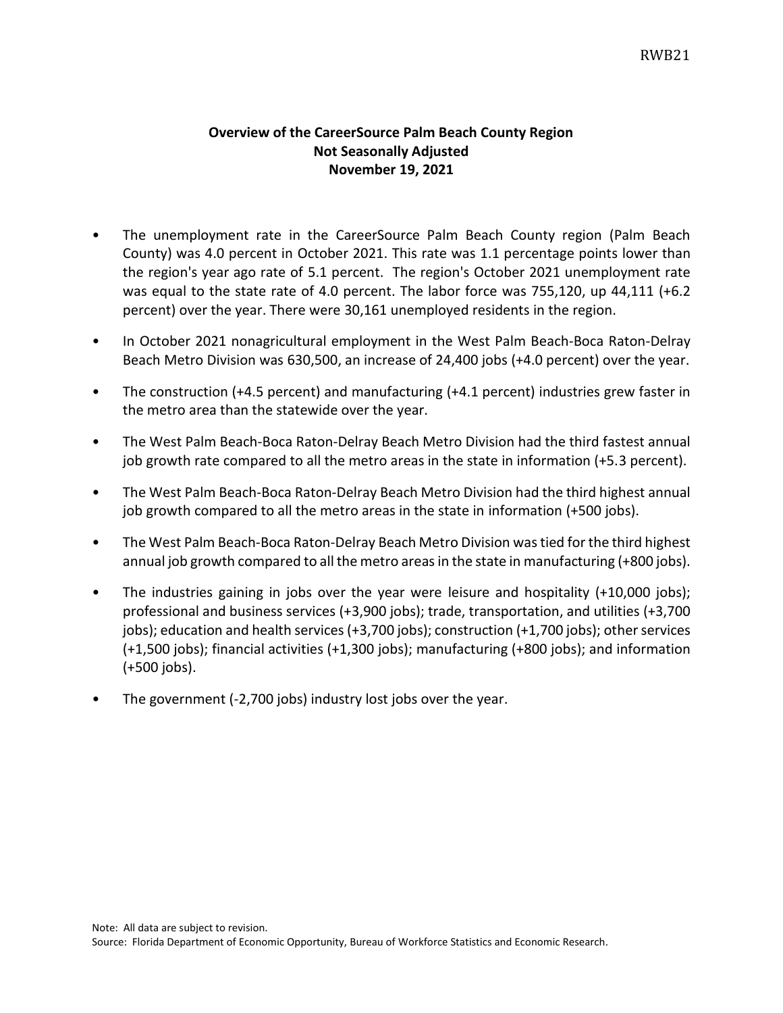## **Overview of the CareerSource Palm Beach County Region Not Seasonally Adjusted November 19, 2021**

- The unemployment rate in the CareerSource Palm Beach County region (Palm Beach County) was 4.0 percent in October 2021. This rate was 1.1 percentage points lower than the region's year ago rate of 5.1 percent. The region's October 2021 unemployment rate was equal to the state rate of 4.0 percent. The labor force was 755,120, up 44,111 (+6.2) percent) over the year. There were 30,161 unemployed residents in the region.
- In October 2021 nonagricultural employment in the West Palm Beach-Boca Raton-Delray Beach Metro Division was 630,500, an increase of 24,400 jobs (+4.0 percent) over the year.
- The construction (+4.5 percent) and manufacturing (+4.1 percent) industries grew faster in the metro area than the statewide over the year.
- The West Palm Beach-Boca Raton-Delray Beach Metro Division had the third fastest annual job growth rate compared to all the metro areas in the state in information (+5.3 percent).
- The West Palm Beach-Boca Raton-Delray Beach Metro Division had the third highest annual job growth compared to all the metro areas in the state in information (+500 jobs).
- The West Palm Beach-Boca Raton-Delray Beach Metro Division was tied for the third highest annual job growth compared to all the metro areas in the state in manufacturing (+800 jobs).
- The industries gaining in jobs over the year were leisure and hospitality (+10,000 jobs); professional and business services (+3,900 jobs); trade, transportation, and utilities (+3,700 jobs); education and health services (+3,700 jobs); construction (+1,700 jobs); other services (+1,500 jobs); financial activities (+1,300 jobs); manufacturing (+800 jobs); and information (+500 jobs).
- The government (-2,700 jobs) industry lost jobs over the year.